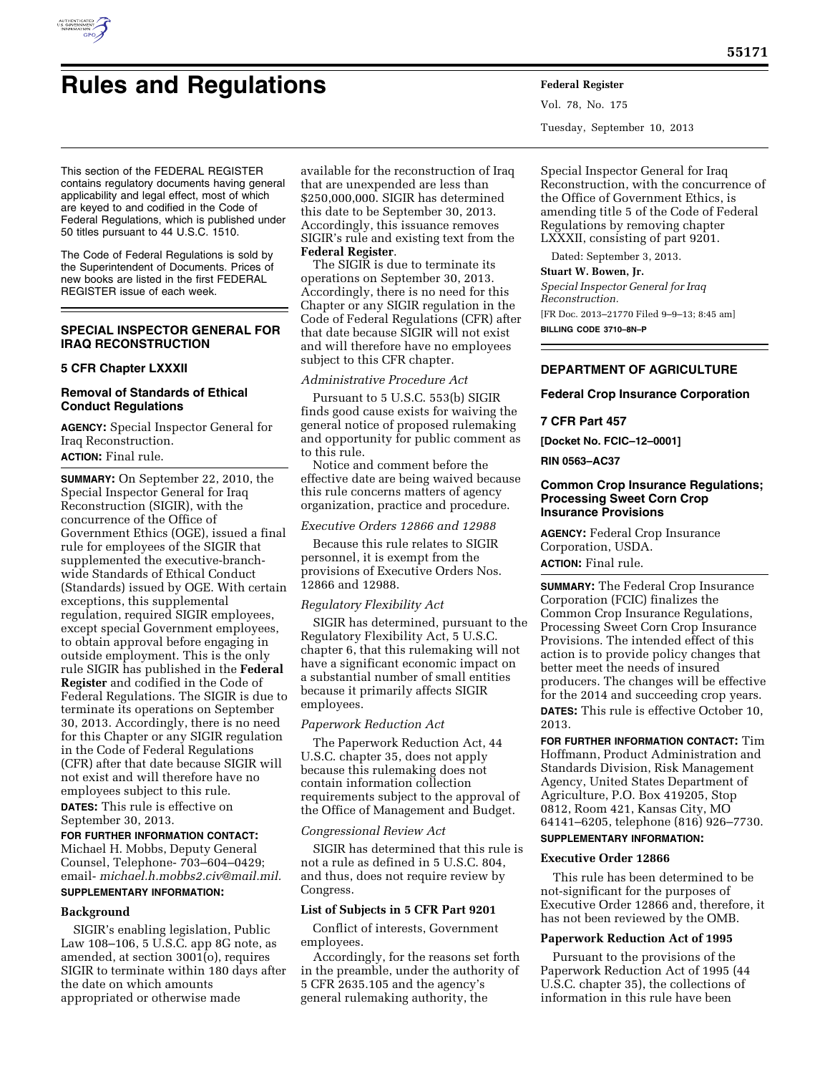

# **Rules and Regulations Federal Register**

This section of the FEDERAL REGISTER contains regulatory documents having general applicability and legal effect, most of which are keyed to and codified in the Code of Federal Regulations, which is published under 50 titles pursuant to 44 U.S.C. 1510.

The Code of Federal Regulations is sold by the Superintendent of Documents. Prices of new books are listed in the first FEDERAL REGISTER issue of each week.

## **SPECIAL INSPECTOR GENERAL FOR IRAQ RECONSTRUCTION**

#### **5 CFR Chapter LXXXII**

## **Removal of Standards of Ethical Conduct Regulations**

**AGENCY:** Special Inspector General for Iraq Reconstruction. **ACTION:** Final rule.

**SUMMARY:** On September 22, 2010, the Special Inspector General for Iraq Reconstruction (SIGIR), with the concurrence of the Office of Government Ethics (OGE), issued a final rule for employees of the SIGIR that supplemented the executive-branchwide Standards of Ethical Conduct (Standards) issued by OGE. With certain exceptions, this supplemental regulation, required SIGIR employees, except special Government employees, to obtain approval before engaging in outside employment. This is the only rule SIGIR has published in the **Federal Register** and codified in the Code of Federal Regulations. The SIGIR is due to terminate its operations on September 30, 2013. Accordingly, there is no need for this Chapter or any SIGIR regulation in the Code of Federal Regulations (CFR) after that date because SIGIR will not exist and will therefore have no employees subject to this rule. **DATES:** This rule is effective on September 30, 2013.

**FOR FURTHER INFORMATION CONTACT:**  Michael H. Mobbs, Deputy General Counsel, Telephone- 703–604–0429; email- *[michael.h.mobbs2.civ@mail.mil.](mailto:michael.h.mobbs2.civ@mail.mil)* 

## **SUPPLEMENTARY INFORMATION:**

**Background** 

## SIGIR's enabling legislation, Public Law 108–106, 5 U.S.C. app 8G note, as amended, at section 3001(o), requires SIGIR to terminate within 180 days after the date on which amounts appropriated or otherwise made

available for the reconstruction of Iraq that are unexpended are less than \$250,000,000. SIGIR has determined this date to be September 30, 2013. Accordingly, this issuance removes SIGIR's rule and existing text from the **Federal Register**.

The SIGIR is due to terminate its operations on September 30, 2013. Accordingly, there is no need for this Chapter or any SIGIR regulation in the Code of Federal Regulations (CFR) after that date because SIGIR will not exist and will therefore have no employees subject to this CFR chapter.

#### *Administrative Procedure Act*

Pursuant to 5 U.S.C. 553(b) SIGIR finds good cause exists for waiving the general notice of proposed rulemaking and opportunity for public comment as to this rule.

Notice and comment before the effective date are being waived because this rule concerns matters of agency organization, practice and procedure.

## *Executive Orders 12866 and 12988*

Because this rule relates to SIGIR personnel, it is exempt from the provisions of Executive Orders Nos. 12866 and 12988.

#### *Regulatory Flexibility Act*

SIGIR has determined, pursuant to the Regulatory Flexibility Act, 5 U.S.C. chapter 6, that this rulemaking will not have a significant economic impact on a substantial number of small entities because it primarily affects SIGIR employees.

#### *Paperwork Reduction Act*

The Paperwork Reduction Act, 44 U.S.C. chapter 35, does not apply because this rulemaking does not contain information collection requirements subject to the approval of the Office of Management and Budget.

#### *Congressional Review Act*

SIGIR has determined that this rule is not a rule as defined in 5 U.S.C. 804, and thus, does not require review by Congress.

#### **List of Subjects in 5 CFR Part 9201**

Conflict of interests, Government employees.

Accordingly, for the reasons set forth in the preamble, under the authority of 5 CFR 2635.105 and the agency's general rulemaking authority, the

Vol. 78, No. 175 Tuesday, September 10, 2013

Special Inspector General for Iraq Reconstruction, with the concurrence of the Office of Government Ethics, is amending title 5 of the Code of Federal Regulations by removing chapter LXXXII, consisting of part 9201.

Dated: September 3, 2013.

#### **Stuart W. Bowen, Jr.**

*Special Inspector General for Iraq Reconstruction.*  [FR Doc. 2013–21770 Filed 9–9–13; 8:45 am] **BILLING CODE 3710–8N–P** 

## **DEPARTMENT OF AGRICULTURE**

#### **Federal Crop Insurance Corporation**

#### **7 CFR Part 457**

**[Docket No. FCIC–12–0001]** 

**RIN 0563–AC37** 

## **Common Crop Insurance Regulations; Processing Sweet Corn Crop Insurance Provisions**

**AGENCY:** Federal Crop Insurance Corporation, USDA.

**ACTION:** Final rule.

**SUMMARY:** The Federal Crop Insurance Corporation (FCIC) finalizes the Common Crop Insurance Regulations, Processing Sweet Corn Crop Insurance Provisions. The intended effect of this action is to provide policy changes that better meet the needs of insured producers. The changes will be effective for the 2014 and succeeding crop years. **DATES:** This rule is effective October 10,

2013.

**FOR FURTHER INFORMATION CONTACT:** Tim Hoffmann, Product Administration and Standards Division, Risk Management Agency, United States Department of Agriculture, P.O. Box 419205, Stop 0812, Room 421, Kansas City, MO 64141–6205, telephone (816) 926–7730.

## **SUPPLEMENTARY INFORMATION:**

#### **Executive Order 12866**

This rule has been determined to be not-significant for the purposes of Executive Order 12866 and, therefore, it has not been reviewed by the OMB.

#### **Paperwork Reduction Act of 1995**

Pursuant to the provisions of the Paperwork Reduction Act of 1995 (44 U.S.C. chapter 35), the collections of information in this rule have been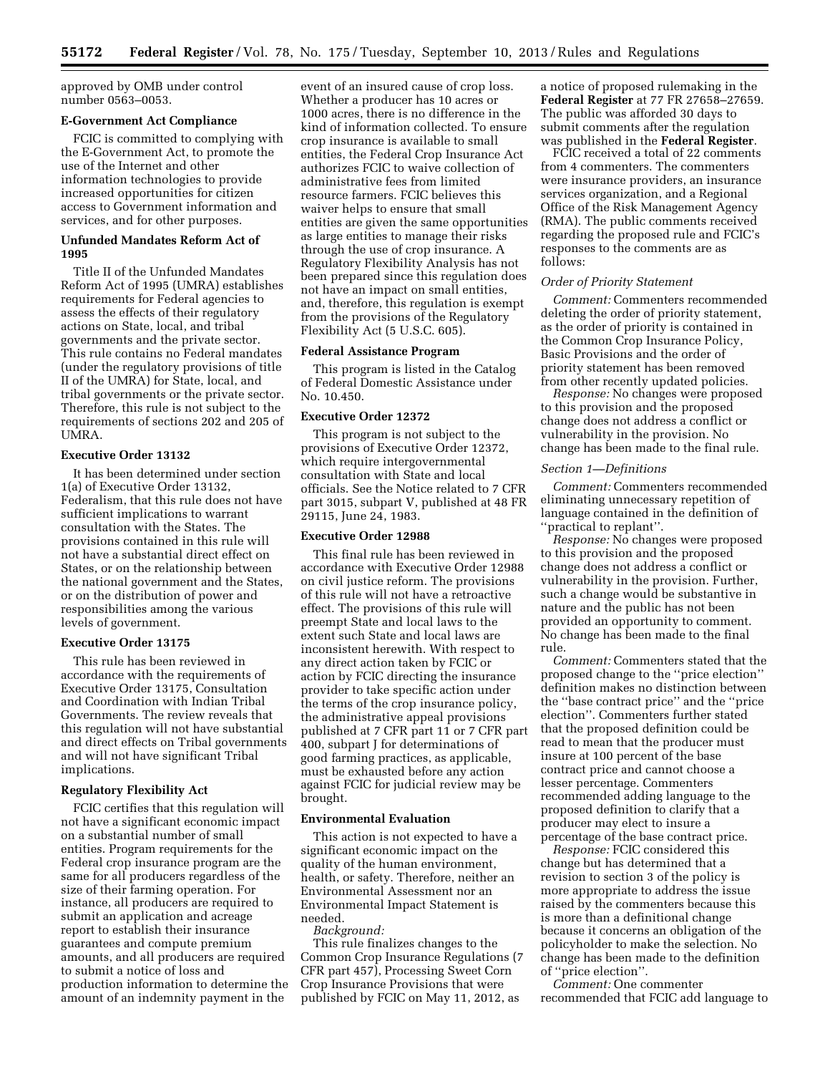approved by OMB under control number 0563–0053.

#### **E-Government Act Compliance**

FCIC is committed to complying with the E-Government Act, to promote the use of the Internet and other information technologies to provide increased opportunities for citizen access to Government information and services, and for other purposes.

#### **Unfunded Mandates Reform Act of 1995**

Title II of the Unfunded Mandates Reform Act of 1995 (UMRA) establishes requirements for Federal agencies to assess the effects of their regulatory actions on State, local, and tribal governments and the private sector. This rule contains no Federal mandates (under the regulatory provisions of title II of the UMRA) for State, local, and tribal governments or the private sector. Therefore, this rule is not subject to the requirements of sections 202 and 205 of UMRA.

## **Executive Order 13132**

It has been determined under section 1(a) of Executive Order 13132, Federalism, that this rule does not have sufficient implications to warrant consultation with the States. The provisions contained in this rule will not have a substantial direct effect on States, or on the relationship between the national government and the States, or on the distribution of power and responsibilities among the various levels of government.

#### **Executive Order 13175**

This rule has been reviewed in accordance with the requirements of Executive Order 13175, Consultation and Coordination with Indian Tribal Governments. The review reveals that this regulation will not have substantial and direct effects on Tribal governments and will not have significant Tribal implications.

#### **Regulatory Flexibility Act**

FCIC certifies that this regulation will not have a significant economic impact on a substantial number of small entities. Program requirements for the Federal crop insurance program are the same for all producers regardless of the size of their farming operation. For instance, all producers are required to submit an application and acreage report to establish their insurance guarantees and compute premium amounts, and all producers are required to submit a notice of loss and production information to determine the amount of an indemnity payment in the

event of an insured cause of crop loss. Whether a producer has 10 acres or 1000 acres, there is no difference in the kind of information collected. To ensure crop insurance is available to small entities, the Federal Crop Insurance Act authorizes FCIC to waive collection of administrative fees from limited resource farmers. FCIC believes this waiver helps to ensure that small entities are given the same opportunities as large entities to manage their risks through the use of crop insurance. A Regulatory Flexibility Analysis has not been prepared since this regulation does not have an impact on small entities, and, therefore, this regulation is exempt from the provisions of the Regulatory Flexibility Act (5 U.S.C. 605).

#### **Federal Assistance Program**

This program is listed in the Catalog of Federal Domestic Assistance under No. 10.450.

## **Executive Order 12372**

This program is not subject to the provisions of Executive Order 12372, which require intergovernmental consultation with State and local officials. See the Notice related to 7 CFR part 3015, subpart V, published at 48 FR 29115, June 24, 1983.

#### **Executive Order 12988**

This final rule has been reviewed in accordance with Executive Order 12988 on civil justice reform. The provisions of this rule will not have a retroactive effect. The provisions of this rule will preempt State and local laws to the extent such State and local laws are inconsistent herewith. With respect to any direct action taken by FCIC or action by FCIC directing the insurance provider to take specific action under the terms of the crop insurance policy, the administrative appeal provisions published at 7 CFR part 11 or 7 CFR part 400, subpart J for determinations of good farming practices, as applicable, must be exhausted before any action against FCIC for judicial review may be brought.

#### **Environmental Evaluation**

This action is not expected to have a significant economic impact on the quality of the human environment, health, or safety. Therefore, neither an Environmental Assessment nor an Environmental Impact Statement is needed.

*Background:* 

This rule finalizes changes to the Common Crop Insurance Regulations (7 CFR part 457), Processing Sweet Corn Crop Insurance Provisions that were published by FCIC on May 11, 2012, as

a notice of proposed rulemaking in the **Federal Register** at 77 FR 27658–27659. The public was afforded 30 days to submit comments after the regulation was published in the **Federal Register**.

FCIC received a total of 22 comments from 4 commenters. The commenters were insurance providers, an insurance services organization, and a Regional Office of the Risk Management Agency (RMA). The public comments received regarding the proposed rule and FCIC's responses to the comments are as follows:

#### *Order of Priority Statement*

*Comment:* Commenters recommended deleting the order of priority statement, as the order of priority is contained in the Common Crop Insurance Policy, Basic Provisions and the order of priority statement has been removed from other recently updated policies.

*Response:* No changes were proposed to this provision and the proposed change does not address a conflict or vulnerability in the provision. No change has been made to the final rule.

#### *Section 1—Definitions*

*Comment:* Commenters recommended eliminating unnecessary repetition of language contained in the definition of ''practical to replant''.

*Response:* No changes were proposed to this provision and the proposed change does not address a conflict or vulnerability in the provision. Further, such a change would be substantive in nature and the public has not been provided an opportunity to comment. No change has been made to the final rule.

*Comment:* Commenters stated that the proposed change to the ''price election'' definition makes no distinction between the ''base contract price'' and the ''price election''. Commenters further stated that the proposed definition could be read to mean that the producer must insure at 100 percent of the base contract price and cannot choose a lesser percentage. Commenters recommended adding language to the proposed definition to clarify that a producer may elect to insure a percentage of the base contract price.

*Response:* FCIC considered this change but has determined that a revision to section 3 of the policy is more appropriate to address the issue raised by the commenters because this is more than a definitional change because it concerns an obligation of the policyholder to make the selection. No change has been made to the definition of ''price election''.

*Comment:* One commenter recommended that FCIC add language to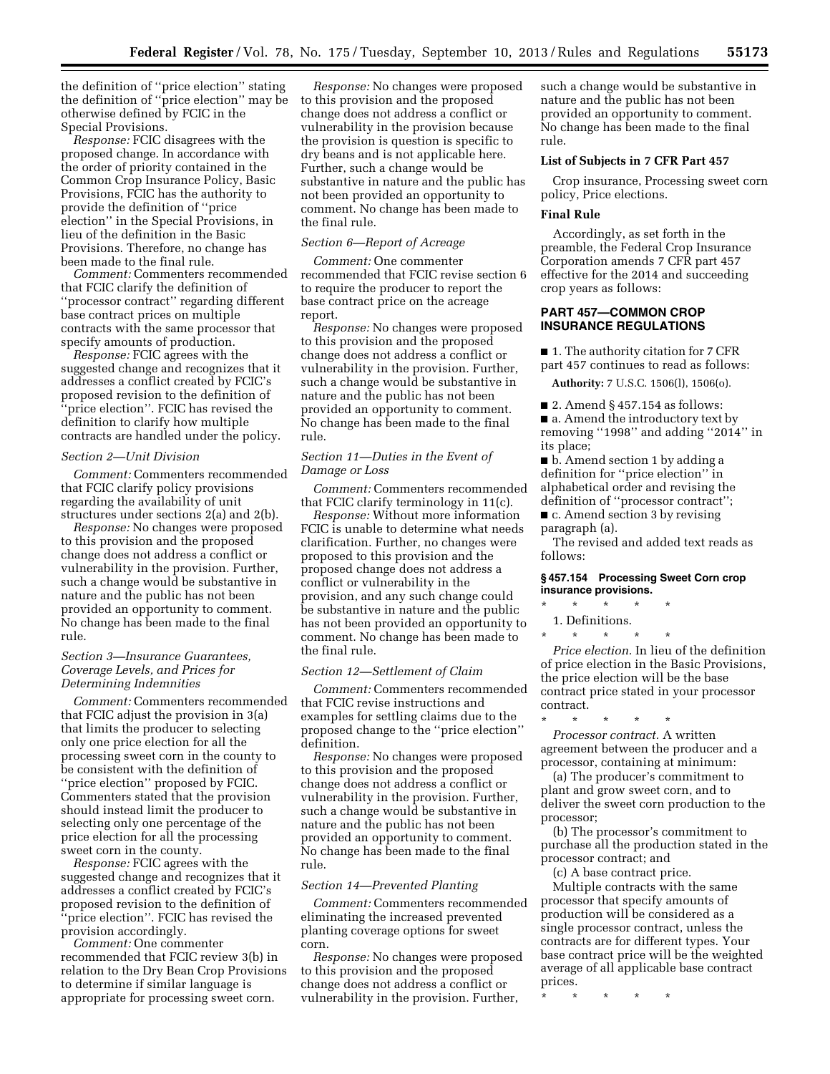the definition of ''price election'' stating the definition of ''price election'' may be otherwise defined by FCIC in the Special Provisions.

*Response:* FCIC disagrees with the proposed change. In accordance with the order of priority contained in the Common Crop Insurance Policy, Basic Provisions, FCIC has the authority to provide the definition of ''price election'' in the Special Provisions, in lieu of the definition in the Basic Provisions. Therefore, no change has been made to the final rule.

*Comment:* Commenters recommended that FCIC clarify the definition of ''processor contract'' regarding different base contract prices on multiple contracts with the same processor that specify amounts of production.

*Response:* FCIC agrees with the suggested change and recognizes that it addresses a conflict created by FCIC's proposed revision to the definition of 'price election". FCIC has revised the definition to clarify how multiple contracts are handled under the policy.

#### *Section 2—Unit Division*

*Comment:* Commenters recommended that FCIC clarify policy provisions regarding the availability of unit structures under sections 2(a) and 2(b).

*Response:* No changes were proposed to this provision and the proposed change does not address a conflict or vulnerability in the provision. Further, such a change would be substantive in nature and the public has not been provided an opportunity to comment. No change has been made to the final rule.

## *Section 3—Insurance Guarantees, Coverage Levels, and Prices for Determining Indemnities*

*Comment:* Commenters recommended that FCIC adjust the provision in 3(a) that limits the producer to selecting only one price election for all the processing sweet corn in the county to be consistent with the definition of ''price election'' proposed by FCIC. Commenters stated that the provision should instead limit the producer to selecting only one percentage of the price election for all the processing sweet corn in the county.

*Response:* FCIC agrees with the suggested change and recognizes that it addresses a conflict created by FCIC's proposed revision to the definition of 'price election''. FCIC has revised the provision accordingly.

*Comment:* One commenter recommended that FCIC review 3(b) in relation to the Dry Bean Crop Provisions to determine if similar language is appropriate for processing sweet corn.

*Response:* No changes were proposed to this provision and the proposed change does not address a conflict or vulnerability in the provision because the provision is question is specific to dry beans and is not applicable here. Further, such a change would be substantive in nature and the public has not been provided an opportunity to comment. No change has been made to the final rule.

## *Section 6—Report of Acreage*

*Comment:* One commenter recommended that FCIC revise section 6 to require the producer to report the base contract price on the acreage report.

*Response:* No changes were proposed to this provision and the proposed change does not address a conflict or vulnerability in the provision. Further, such a change would be substantive in nature and the public has not been provided an opportunity to comment. No change has been made to the final rule.

#### *Section 11—Duties in the Event of Damage or Loss*

*Comment:* Commenters recommended that FCIC clarify terminology in 11(c).

*Response:* Without more information FCIC is unable to determine what needs clarification. Further, no changes were proposed to this provision and the proposed change does not address a conflict or vulnerability in the provision, and any such change could be substantive in nature and the public has not been provided an opportunity to comment. No change has been made to the final rule.

#### *Section 12—Settlement of Claim*

*Comment:* Commenters recommended that FCIC revise instructions and examples for settling claims due to the proposed change to the ''price election'' definition.

*Response:* No changes were proposed to this provision and the proposed change does not address a conflict or vulnerability in the provision. Further, such a change would be substantive in nature and the public has not been provided an opportunity to comment. No change has been made to the final rule.

#### *Section 14—Prevented Planting*

*Comment:* Commenters recommended eliminating the increased prevented planting coverage options for sweet corn.

*Response:* No changes were proposed to this provision and the proposed change does not address a conflict or vulnerability in the provision. Further,

such a change would be substantive in nature and the public has not been provided an opportunity to comment. No change has been made to the final rule.

#### **List of Subjects in 7 CFR Part 457**

Crop insurance, Processing sweet corn policy, Price elections.

## **Final Rule**

Accordingly, as set forth in the preamble, the Federal Crop Insurance Corporation amends 7 CFR part 457 effective for the 2014 and succeeding crop years as follows:

## **PART 457—COMMON CROP INSURANCE REGULATIONS**

■ 1. The authority citation for 7 CFR part 457 continues to read as follows:

**Authority:** 7 U.S.C. 1506(l), 1506(o).

■ 2. Amend § 457.154 as follows:

■ a. Amend the introductory text by removing ''1998'' and adding ''2014'' in its place;

■ b. Amend section 1 by adding a definition for ''price election'' in alphabetical order and revising the definition of ''processor contract'';

■ c. Amend section 3 by revising paragraph (a).

The revised and added text reads as follows:

#### **§ 457.154 Processing Sweet Corn crop insurance provisions.**

- \* \* \* \* \*
- 1. Definitions.
- \* \* \* \* \*

*Price election.* In lieu of the definition of price election in the Basic Provisions, the price election will be the base contract price stated in your processor contract.

\* \* \* \* \* *Processor contract.* A written agreement between the producer and a processor, containing at minimum:

(a) The producer's commitment to plant and grow sweet corn, and to deliver the sweet corn production to the processor;

(b) The processor's commitment to purchase all the production stated in the processor contract; and

(c) A base contract price.

Multiple contracts with the same processor that specify amounts of production will be considered as a single processor contract, unless the contracts are for different types. Your base contract price will be the weighted average of all applicable base contract prices.

\* \* \* \* \*